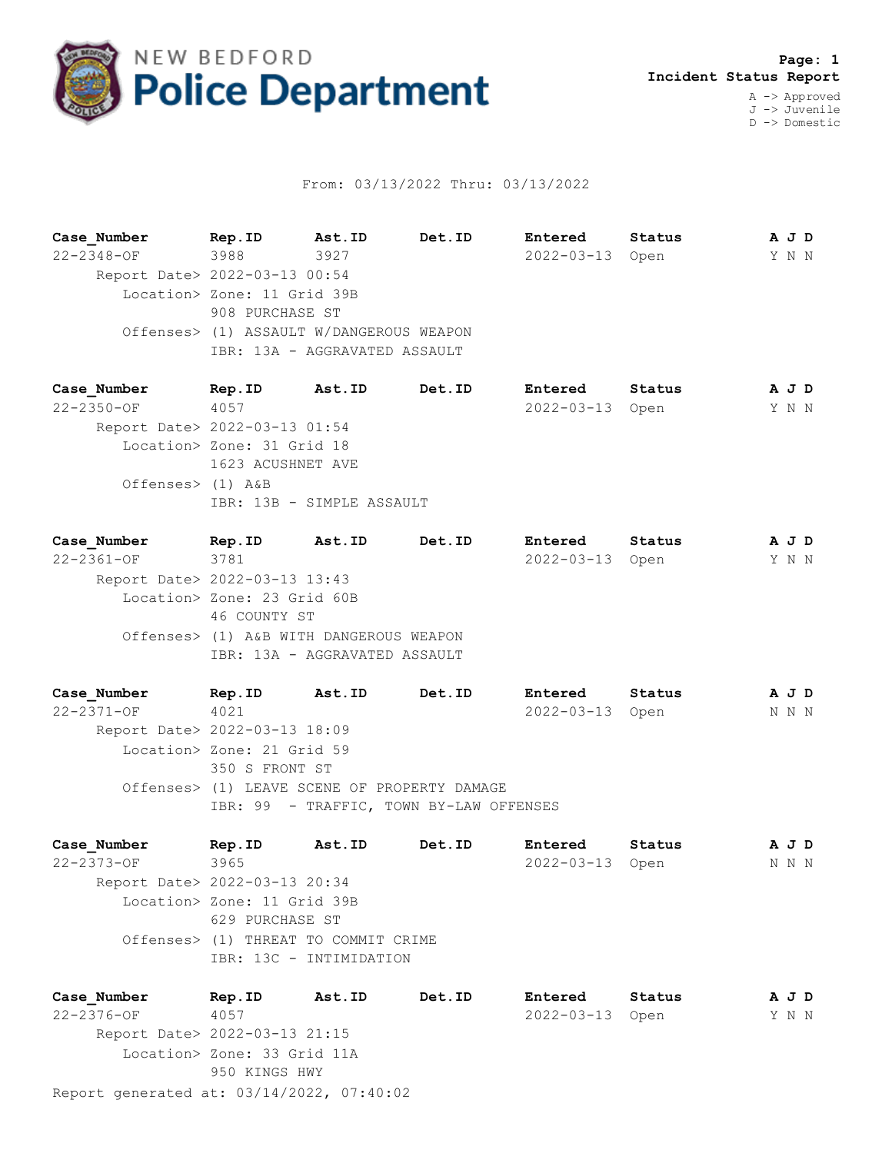

## From: 03/13/2022 Thru: 03/13/2022

**Case\_Number Rep.ID Ast.ID Det.ID Entered Status A J D** 22-2348-OF 3988 3927 2022-03-13 Open Y N N Report Date> 2022-03-13 00:54 Location> Zone: 11 Grid 39B 908 PURCHASE ST Offenses> (1) ASSAULT W/DANGEROUS WEAPON IBR: 13A - AGGRAVATED ASSAULT

**Case\_Number Rep.ID Ast.ID Det.ID Entered Status A J D** 22-2350-OF 4057 2022-03-13 Open Y N N Report Date> 2022-03-13 01:54 Location> Zone: 31 Grid 18 1623 ACUSHNET AVE Offenses> (1) A&B IBR: 13B - SIMPLE ASSAULT

**Case\_Number Rep.ID Ast.ID Det.ID Entered Status A J D** 22-2361-OF 3781 2022-03-13 Open Y N N Report Date> 2022-03-13 13:43 Location> Zone: 23 Grid 60B 46 COUNTY ST Offenses> (1) A&B WITH DANGEROUS WEAPON IBR: 13A - AGGRAVATED ASSAULT

**Case\_Number Rep.ID Ast.ID Det.ID Entered Status A J D** 22-2371-OF 4021 2022-03-13 Open N N N Report Date> 2022-03-13 18:09 Location> Zone: 21 Grid 59 350 S FRONT ST Offenses> (1) LEAVE SCENE OF PROPERTY DAMAGE IBR: 99 - TRAFFIC, TOWN BY-LAW OFFENSES

**Case\_Number Rep.ID Ast.ID Det.ID Entered Status A J D** 22-2373-OF 3965 2022-03-13 Open N N N Report Date> 2022-03-13 20:34 Location> Zone: 11 Grid 39B 629 PURCHASE ST Offenses> (1) THREAT TO COMMIT CRIME IBR: 13C - INTIMIDATION

Report generated at: 03/14/2022, 07:40:02 **Case\_Number Rep.ID Ast.ID Det.ID Entered Status A J D** 22-2376-OF 4057 2022-03-13 Open Y N N Report Date> 2022-03-13 21:15 Location> Zone: 33 Grid 11A 950 KINGS HWY